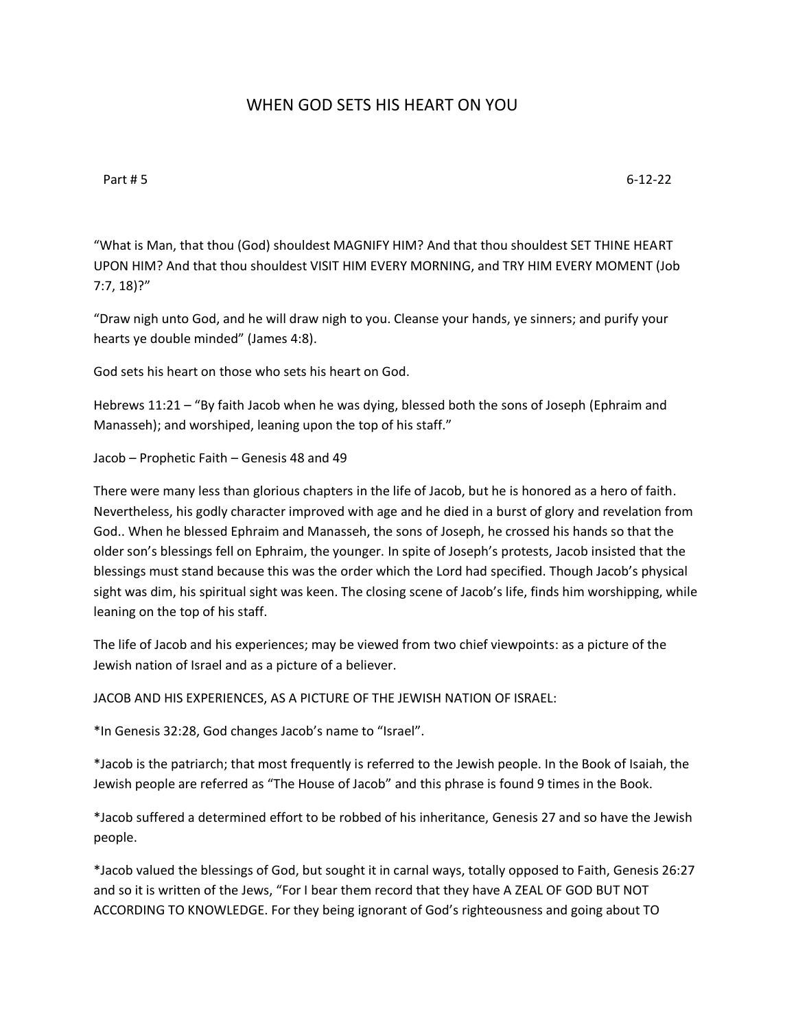## WHEN GOD SETS HIS HEART ON YOU

Part # 5 6-12-22

"What is Man, that thou (God) shouldest MAGNIFY HIM? And that thou shouldest SET THINE HEART UPON HIM? And that thou shouldest VISIT HIM EVERY MORNING, and TRY HIM EVERY MOMENT (Job 7:7, 18)?"

"Draw nigh unto God, and he will draw nigh to you. Cleanse your hands, ye sinners; and purify your hearts ye double minded" (James 4:8).

God sets his heart on those who sets his heart on God.

Hebrews 11:21 – "By faith Jacob when he was dying, blessed both the sons of Joseph (Ephraim and Manasseh); and worshiped, leaning upon the top of his staff."

```
Jacob – Prophetic Faith – Genesis 48 and 49
```
There were many less than glorious chapters in the life of Jacob, but he is honored as a hero of faith. Nevertheless, his godly character improved with age and he died in a burst of glory and revelation from God.. When he blessed Ephraim and Manasseh, the sons of Joseph, he crossed his hands so that the older son's blessings fell on Ephraim, the younger. In spite of Joseph's protests, Jacob insisted that the blessings must stand because this was the order which the Lord had specified. Though Jacob's physical sight was dim, his spiritual sight was keen. The closing scene of Jacob's life, finds him worshipping, while leaning on the top of his staff.

The life of Jacob and his experiences; may be viewed from two chief viewpoints: as a picture of the Jewish nation of Israel and as a picture of a believer.

JACOB AND HIS EXPERIENCES, AS A PICTURE OF THE JEWISH NATION OF ISRAEL:

\*In Genesis 32:28, God changes Jacob's name to "Israel".

\*Jacob is the patriarch; that most frequently is referred to the Jewish people. In the Book of Isaiah, the Jewish people are referred as "The House of Jacob" and this phrase is found 9 times in the Book.

\*Jacob suffered a determined effort to be robbed of his inheritance, Genesis 27 and so have the Jewish people.

\*Jacob valued the blessings of God, but sought it in carnal ways, totally opposed to Faith, Genesis 26:27 and so it is written of the Jews, "For I bear them record that they have A ZEAL OF GOD BUT NOT ACCORDING TO KNOWLEDGE. For they being ignorant of God's righteousness and going about TO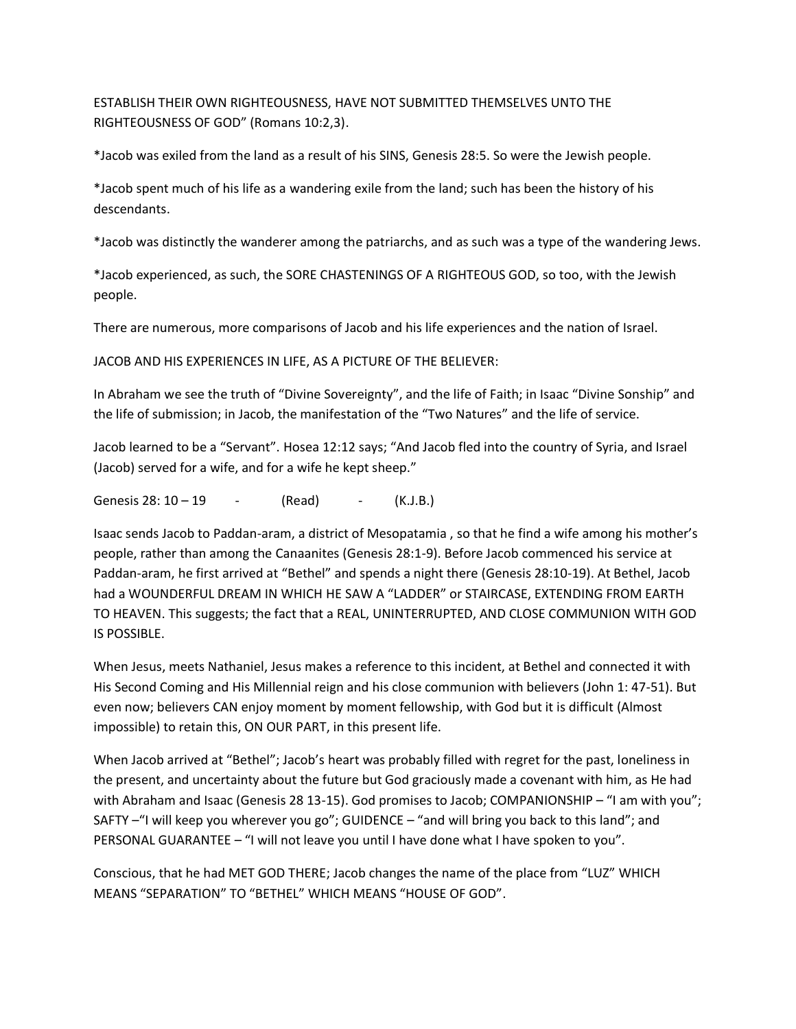ESTABLISH THEIR OWN RIGHTEOUSNESS, HAVE NOT SUBMITTED THEMSELVES UNTO THE RIGHTEOUSNESS OF GOD" (Romans 10:2,3).

\*Jacob was exiled from the land as a result of his SINS, Genesis 28:5. So were the Jewish people.

\*Jacob spent much of his life as a wandering exile from the land; such has been the history of his descendants.

\*Jacob was distinctly the wanderer among the patriarchs, and as such was a type of the wandering Jews.

\*Jacob experienced, as such, the SORE CHASTENINGS OF A RIGHTEOUS GOD, so too, with the Jewish people.

There are numerous, more comparisons of Jacob and his life experiences and the nation of Israel.

JACOB AND HIS EXPERIENCES IN LIFE, AS A PICTURE OF THE BELIEVER:

In Abraham we see the truth of "Divine Sovereignty", and the life of Faith; in Isaac "Divine Sonship" and the life of submission; in Jacob, the manifestation of the "Two Natures" and the life of service.

Jacob learned to be a "Servant". Hosea 12:12 says; "And Jacob fled into the country of Syria, and Israel (Jacob) served for a wife, and for a wife he kept sheep."

Genesis  $28: 10 - 19$  - (Read) - (K.J.B.)

Isaac sends Jacob to Paddan-aram, a district of Mesopatamia , so that he find a wife among his mother's people, rather than among the Canaanites (Genesis 28:1-9). Before Jacob commenced his service at Paddan-aram, he first arrived at "Bethel" and spends a night there (Genesis 28:10-19). At Bethel, Jacob had a WOUNDERFUL DREAM IN WHICH HE SAW A "LADDER" or STAIRCASE, EXTENDING FROM EARTH TO HEAVEN. This suggests; the fact that a REAL, UNINTERRUPTED, AND CLOSE COMMUNION WITH GOD IS POSSIBLE.

When Jesus, meets Nathaniel, Jesus makes a reference to this incident, at Bethel and connected it with His Second Coming and His Millennial reign and his close communion with believers (John 1: 47-51). But even now; believers CAN enjoy moment by moment fellowship, with God but it is difficult (Almost impossible) to retain this, ON OUR PART, in this present life.

When Jacob arrived at "Bethel"; Jacob's heart was probably filled with regret for the past, loneliness in the present, and uncertainty about the future but God graciously made a covenant with him, as He had with Abraham and Isaac (Genesis 28 13-15). God promises to Jacob; COMPANIONSHIP – "I am with you"; SAFTY –"I will keep you wherever you go"; GUIDENCE – "and will bring you back to this land"; and PERSONAL GUARANTEE – "I will not leave you until I have done what I have spoken to you".

Conscious, that he had MET GOD THERE; Jacob changes the name of the place from "LUZ" WHICH MEANS "SEPARATION" TO "BETHEL" WHICH MEANS "HOUSE OF GOD".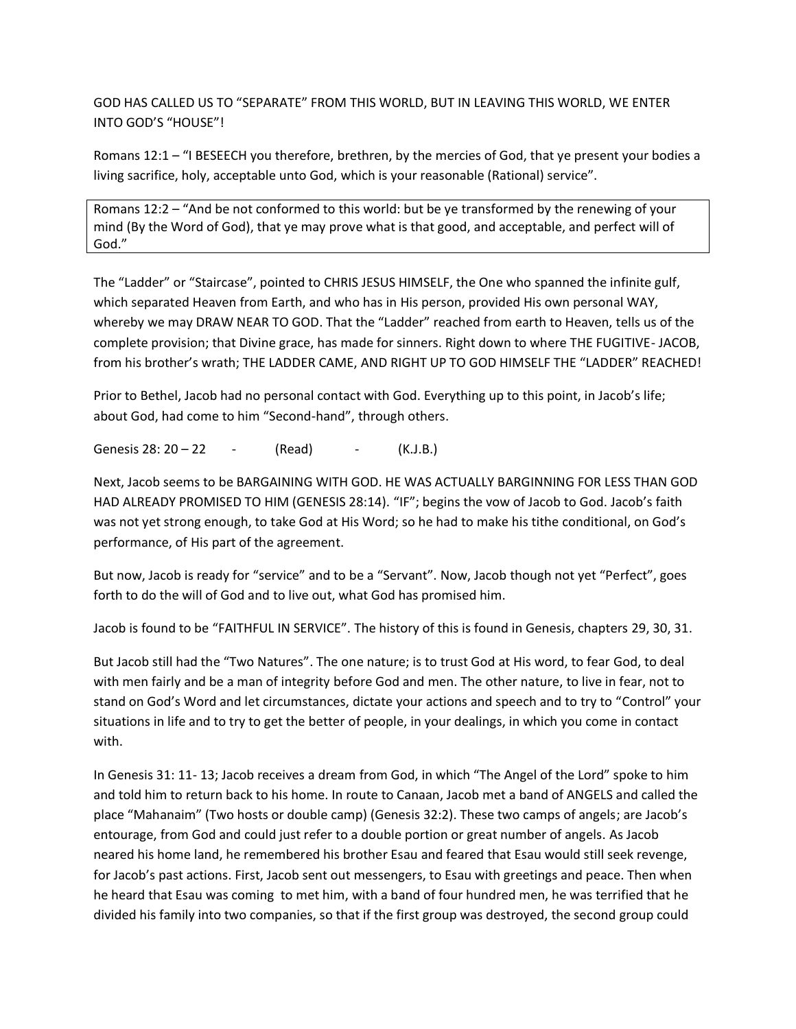GOD HAS CALLED US TO "SEPARATE" FROM THIS WORLD, BUT IN LEAVING THIS WORLD, WE ENTER INTO GOD'S "HOUSE"!

Romans 12:1 – "I BESEECH you therefore, brethren, by the mercies of God, that ye present your bodies a living sacrifice, holy, acceptable unto God, which is your reasonable (Rational) service".

Romans 12:2 – "And be not conformed to this world: but be ye transformed by the renewing of your mind (By the Word of God), that ye may prove what is that good, and acceptable, and perfect will of God."

The "Ladder" or "Staircase", pointed to CHRIS JESUS HIMSELF, the One who spanned the infinite gulf, which separated Heaven from Earth, and who has in His person, provided His own personal WAY, whereby we may DRAW NEAR TO GOD. That the "Ladder" reached from earth to Heaven, tells us of the complete provision; that Divine grace, has made for sinners. Right down to where THE FUGITIVE- JACOB, from his brother's wrath; THE LADDER CAME, AND RIGHT UP TO GOD HIMSELF THE "LADDER" REACHED!

Prior to Bethel, Jacob had no personal contact with God. Everything up to this point, in Jacob's life; about God, had come to him "Second-hand", through others.

Genesis  $28: 20 - 22$  - (Read) - (K.J.B.)

Next, Jacob seems to be BARGAINING WITH GOD. HE WAS ACTUALLY BARGINNING FOR LESS THAN GOD HAD ALREADY PROMISED TO HIM (GENESIS 28:14). "IF"; begins the vow of Jacob to God. Jacob's faith was not yet strong enough, to take God at His Word; so he had to make his tithe conditional, on God's performance, of His part of the agreement.

But now, Jacob is ready for "service" and to be a "Servant". Now, Jacob though not yet "Perfect", goes forth to do the will of God and to live out, what God has promised him.

Jacob is found to be "FAITHFUL IN SERVICE". The history of this is found in Genesis, chapters 29, 30, 31.

But Jacob still had the "Two Natures". The one nature; is to trust God at His word, to fear God, to deal with men fairly and be a man of integrity before God and men. The other nature, to live in fear, not to stand on God's Word and let circumstances, dictate your actions and speech and to try to "Control" your situations in life and to try to get the better of people, in your dealings, in which you come in contact with.

In Genesis 31: 11- 13; Jacob receives a dream from God, in which "The Angel of the Lord" spoke to him and told him to return back to his home. In route to Canaan, Jacob met a band of ANGELS and called the place "Mahanaim" (Two hosts or double camp) (Genesis 32:2). These two camps of angels; are Jacob's entourage, from God and could just refer to a double portion or great number of angels. As Jacob neared his home land, he remembered his brother Esau and feared that Esau would still seek revenge, for Jacob's past actions. First, Jacob sent out messengers, to Esau with greetings and peace. Then when he heard that Esau was coming to met him, with a band of four hundred men, he was terrified that he divided his family into two companies, so that if the first group was destroyed, the second group could